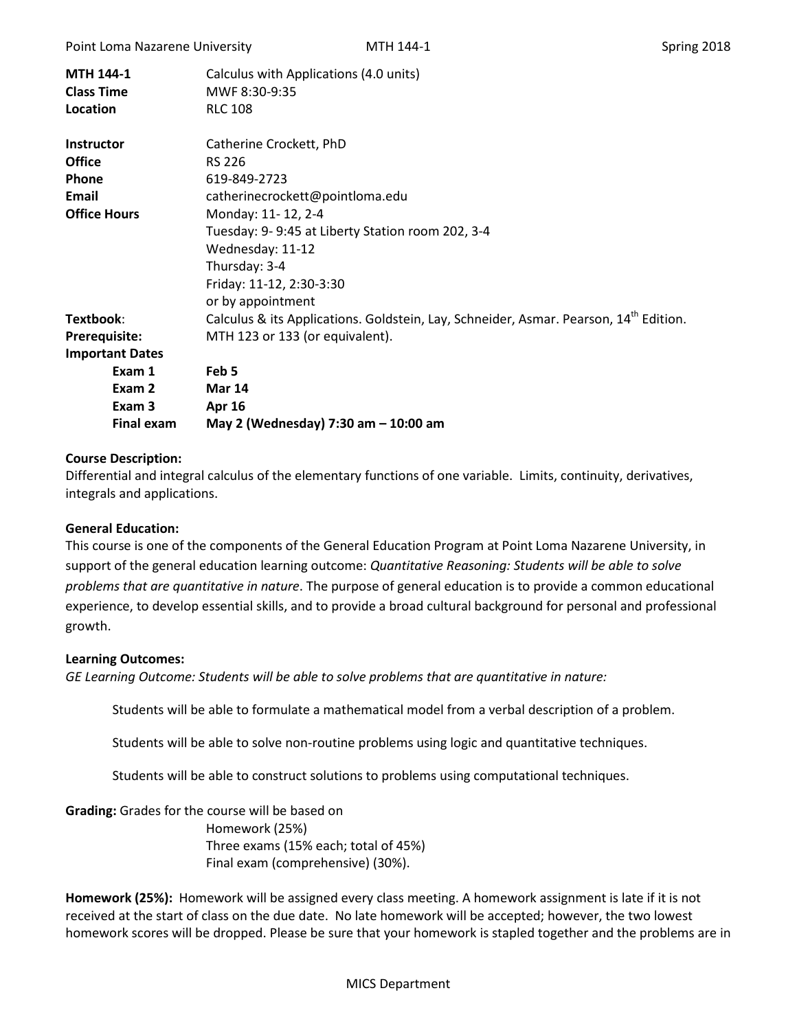| MTH 144-1<br><b>Class Time</b><br>Location | Calculus with Applications (4.0 units)<br>MWF 8:30-9:35<br><b>RLC 108</b>                         |
|--------------------------------------------|---------------------------------------------------------------------------------------------------|
| <b>Instructor</b>                          | Catherine Crockett, PhD                                                                           |
| <b>Office</b>                              | <b>RS 226</b>                                                                                     |
| <b>Phone</b>                               | 619-849-2723                                                                                      |
| Email                                      | catherinecrockett@pointloma.edu                                                                   |
| <b>Office Hours</b>                        | Monday: 11-12, 2-4                                                                                |
|                                            | Tuesday: 9-9:45 at Liberty Station room 202, 3-4                                                  |
|                                            | Wednesday: 11-12                                                                                  |
|                                            | Thursday: 3-4                                                                                     |
|                                            | Friday: 11-12, 2:30-3:30                                                                          |
|                                            | or by appointment                                                                                 |
| Textbook:                                  | Calculus & its Applications. Goldstein, Lay, Schneider, Asmar. Pearson, 14 <sup>th</sup> Edition. |
| <b>Prerequisite:</b>                       | MTH 123 or 133 (or equivalent).                                                                   |
| <b>Important Dates</b>                     |                                                                                                   |
| Exam 1                                     | Feb 5                                                                                             |
| Exam 2                                     | <b>Mar 14</b>                                                                                     |
| Exam 3                                     | <b>Apr 16</b>                                                                                     |
| <b>Final exam</b>                          | May 2 (Wednesday) 7:30 am - 10:00 am                                                              |

## **Course Description:**

Differential and integral calculus of the elementary functions of one variable. Limits, continuity, derivatives, integrals and applications.

## **General Education:**

This course is one of the components of the General Education Program at Point Loma Nazarene University, in support of the general education learning outcome: *Quantitative Reasoning: Students will be able to solve problems that are quantitative in nature*. The purpose of general education is to provide a common educational experience, to develop essential skills, and to provide a broad cultural background for personal and professional growth.

#### **Learning Outcomes:**

*GE Learning Outcome: Students will be able to solve problems that are quantitative in nature:*

Students will be able to formulate a mathematical model from a verbal description of a problem.

Students will be able to solve non-routine problems using logic and quantitative techniques.

Students will be able to construct solutions to problems using computational techniques.

**Grading:** Grades for the course will be based on

Homework (25%) Three exams (15% each; total of 45%) Final exam (comprehensive) (30%).

**Homework (25%):** Homework will be assigned every class meeting. A homework assignment is late if it is not received at the start of class on the due date. No late homework will be accepted; however, the two lowest homework scores will be dropped. Please be sure that your homework is stapled together and the problems are in

#### MICS Department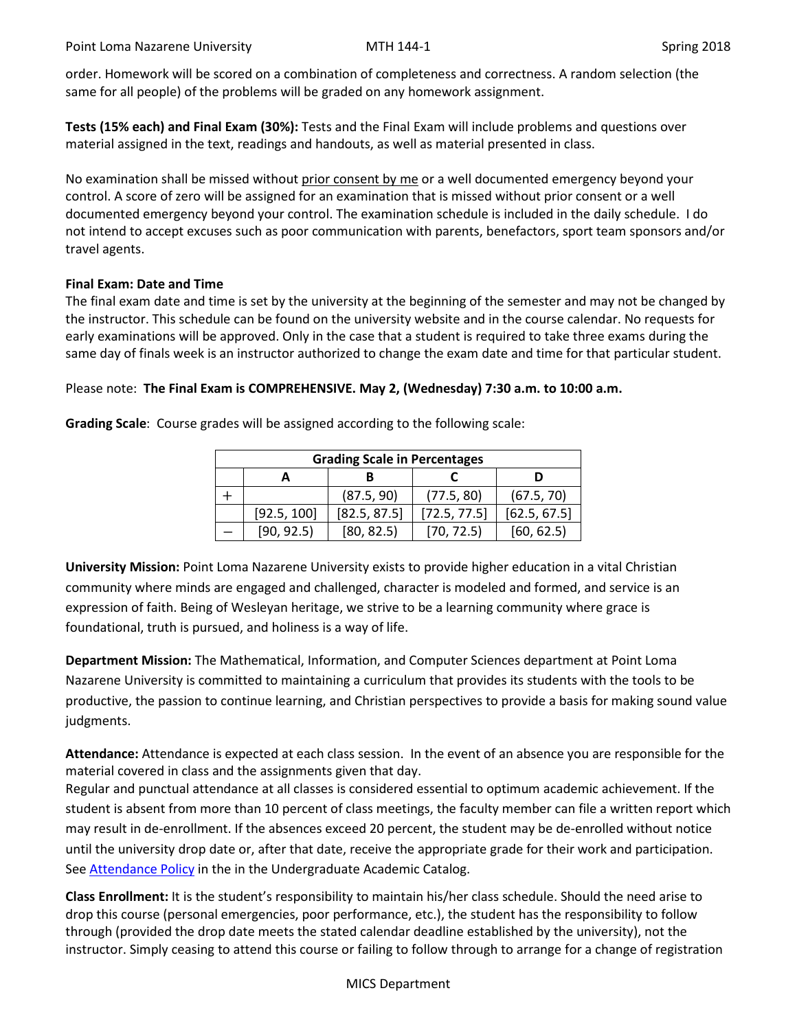order. Homework will be scored on a combination of completeness and correctness. A random selection (the same for all people) of the problems will be graded on any homework assignment.

**Tests (15% each) and Final Exam (30%):** Tests and the Final Exam will include problems and questions over material assigned in the text, readings and handouts, as well as material presented in class.

No examination shall be missed without prior consent by me or a well documented emergency beyond your control. A score of zero will be assigned for an examination that is missed without prior consent or a well documented emergency beyond your control. The examination schedule is included in the daily schedule. I do not intend to accept excuses such as poor communication with parents, benefactors, sport team sponsors and/or travel agents.

## **Final Exam: Date and Time**

The final exam date and time is set by the university at the beginning of the semester and may not be changed by the instructor. This schedule can be found on the university website and in the course calendar. No requests for early examinations will be approved. Only in the case that a student is required to take three exams during the same day of finals week is an instructor authorized to change the exam date and time for that particular student.

## Please note: **The Final Exam is COMPREHENSIVE. May 2, (Wednesday) 7:30 a.m. to 10:00 a.m.**

**Grading Scale**: Course grades will be assigned according to the following scale:

| <b>Grading Scale in Percentages</b> |             |              |              |              |
|-------------------------------------|-------------|--------------|--------------|--------------|
|                                     |             |              |              |              |
|                                     |             | (87.5, 90)   | (77.5, 80)   | (67.5, 70)   |
|                                     | [92.5, 100] | [82.5, 87.5] | [72.5, 77.5] | [62.5, 67.5] |
|                                     | [90, 92.5]  | [80, 82.5]   | [70, 72.5]   | [60, 62.5]   |

**University Mission:** Point Loma Nazarene University exists to provide higher education in a vital Christian community where minds are engaged and challenged, character is modeled and formed, and service is an expression of faith. Being of Wesleyan heritage, we strive to be a learning community where grace is foundational, truth is pursued, and holiness is a way of life.

**Department Mission:** The Mathematical, Information, and Computer Sciences department at Point Loma Nazarene University is committed to maintaining a curriculum that provides its students with the tools to be productive, the passion to continue learning, and Christian perspectives to provide a basis for making sound value judgments.

**Attendance:** Attendance is expected at each class session. In the event of an absence you are responsible for the material covered in class and the assignments given that day.

Regular and punctual attendance at all classes is considered essential to optimum academic achievement. If the student is absent from more than 10 percent of class meetings, the faculty member can file a written report which may result in de-enrollment. If the absences exceed 20 percent, the student may be de-enrolled without notice until the university drop date or, after that date, receive the appropriate grade for their work and participation. See **Attendance Policy** in the in the Undergraduate Academic Catalog.

**Class Enrollment:** It is the student's responsibility to maintain his/her class schedule. Should the need arise to drop this course (personal emergencies, poor performance, etc.), the student has the responsibility to follow through (provided the drop date meets the stated calendar deadline established by the university), not the instructor. Simply ceasing to attend this course or failing to follow through to arrange for a change of registration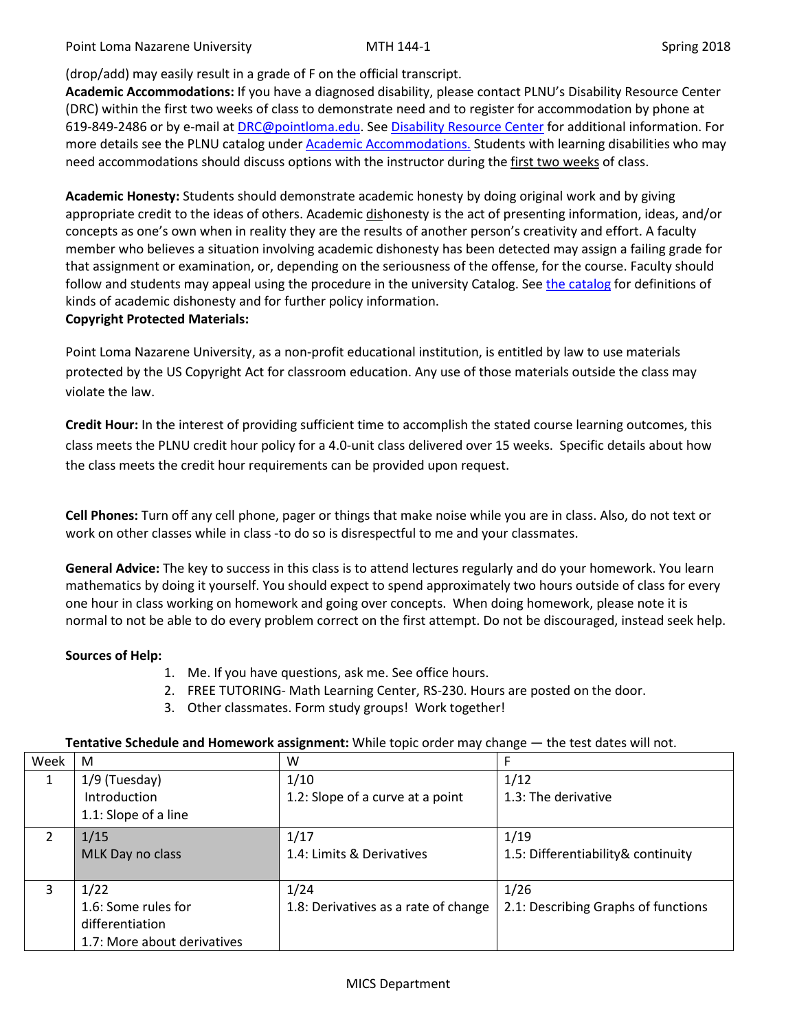Point Loma Nazarene University **MTH 144-1** MTH 144-1

# (drop/add) may easily result in a grade of F on the official transcript.

**Academic Accommodations:** If you have a diagnosed disability, please contact PLNU's Disability Resource Center (DRC) within the first two weeks of class to demonstrate need and to register for accommodation by phone at 619-849-2486 or by e-mail a[t DRC@pointloma.edu.](mailto:DRC@pointloma.edu) Se[e Disability Resource Center](http://www.pointloma.edu/experience/offices/administrative-offices/academic-advising-office/disability-resource-center) for additional information. For more details see the PLNU catalog under [Academic Accommodations.](https://catalog.pointloma.edu/content.php?catoid=28&navoid=1761#Academic_Accommodations) Students with learning disabilities who may need accommodations should discuss options with the instructor during the first two weeks of class.

**Academic Honesty:** Students should demonstrate academic honesty by doing original work and by giving appropriate credit to the ideas of others. Academic dishonesty is the act of presenting information, ideas, and/or concepts as one's own when in reality they are the results of another person's creativity and effort. A faculty member who believes a situation involving academic dishonesty has been detected may assign a failing grade for that assignment or examination, or, depending on the seriousness of the offense, for the course. Faculty should follow and students may appeal using the procedure in the university Catalog. Se[e the catalog](https://catalog.pointloma.edu/content.php?catoid=28&navoid=1761#Academic_Honesty) for definitions of kinds of academic dishonesty and for further policy information.

# **Copyright Protected Materials:**

Point Loma Nazarene University, as a non-profit educational institution, is entitled by law to use materials protected by the US Copyright Act for classroom education. Any use of those materials outside the class may violate the law.

**Credit Hour:** In the interest of providing sufficient time to accomplish the stated course learning outcomes, this class meets the PLNU credit hour policy for a 4.0-unit class delivered over 15 weeks. Specific details about how the class meets the credit hour requirements can be provided upon request.

**Cell Phones:** Turn off any cell phone, pager or things that make noise while you are in class. Also, do not text or work on other classes while in class -to do so is disrespectful to me and your classmates.

**General Advice:** The key to success in this class is to attend lectures regularly and do your homework. You learn mathematics by doing it yourself. You should expect to spend approximately two hours outside of class for every one hour in class working on homework and going over concepts. When doing homework, please note it is normal to not be able to do every problem correct on the first attempt. Do not be discouraged, instead seek help.

# **Sources of Help:**

- 1. Me. If you have questions, ask me. See office hours.
- 2. FREE TUTORING- Math Learning Center, RS-230. Hours are posted on the door.
- 3. Other classmates. Form study groups! Work together!

| Week | M                                    | W                       |                                 |
|------|--------------------------------------|-------------------------|---------------------------------|
|      | /۵<br>uesday <sup>)</sup><br>J<br>-- | 74.<br>ΨU<br><u>— д</u> | $\overline{1}$<br>$+$ / $+$ $-$ |

**Tentative Schedule and Homework assignment:** While topic order may change — the test dates will not.

|   | 1/9 (Tuesday)<br>Introduction<br>1.1: Slope of a line                         | 1/10<br>1.2: Slope of a curve at a point     | 1/12<br>1.3: The derivative                 |
|---|-------------------------------------------------------------------------------|----------------------------------------------|---------------------------------------------|
|   | 1/15<br>MLK Day no class                                                      | 1/17<br>1.4: Limits & Derivatives            | 1/19<br>1.5: Differentiability& continuity  |
| 3 | 1/22<br>1.6: Some rules for<br>differentiation<br>1.7: More about derivatives | 1/24<br>1.8: Derivatives as a rate of change | 1/26<br>2.1: Describing Graphs of functions |